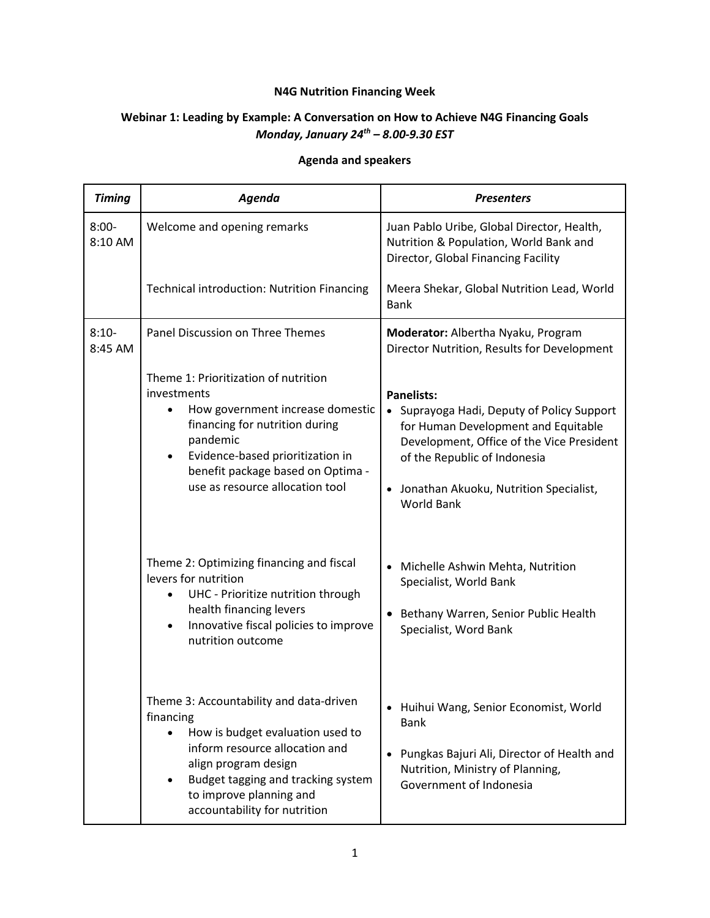## **N4G Nutrition Financing Week**

## **Webinar 1: Leading by Example: A Conversation on How to Achieve N4G Financing Goals** *Monday, January 24th – 8.00-9.30 EST*

## **Agenda and speakers**

| <b>Timing</b>       | Agenda                                                                                                                                                                                                                                                                      | <b>Presenters</b>                                                                                                                                                                                                                                    |
|---------------------|-----------------------------------------------------------------------------------------------------------------------------------------------------------------------------------------------------------------------------------------------------------------------------|------------------------------------------------------------------------------------------------------------------------------------------------------------------------------------------------------------------------------------------------------|
| $8:00 -$<br>8:10 AM | Welcome and opening remarks                                                                                                                                                                                                                                                 | Juan Pablo Uribe, Global Director, Health,<br>Nutrition & Population, World Bank and<br>Director, Global Financing Facility                                                                                                                          |
|                     | <b>Technical introduction: Nutrition Financing</b>                                                                                                                                                                                                                          | Meera Shekar, Global Nutrition Lead, World<br><b>Bank</b>                                                                                                                                                                                            |
| $8:10-$<br>8:45 AM  | Panel Discussion on Three Themes                                                                                                                                                                                                                                            | Moderator: Albertha Nyaku, Program<br>Director Nutrition, Results for Development                                                                                                                                                                    |
|                     | Theme 1: Prioritization of nutrition<br>investments<br>How government increase domestic<br>$\bullet$<br>financing for nutrition during<br>pandemic<br>Evidence-based prioritization in<br>$\bullet$<br>benefit package based on Optima -<br>use as resource allocation tool | <b>Panelists:</b><br>• Suprayoga Hadi, Deputy of Policy Support<br>for Human Development and Equitable<br>Development, Office of the Vice President<br>of the Republic of Indonesia<br>• Jonathan Akuoku, Nutrition Specialist,<br><b>World Bank</b> |
|                     | Theme 2: Optimizing financing and fiscal<br>levers for nutrition<br>UHC - Prioritize nutrition through<br>health financing levers<br>Innovative fiscal policies to improve<br>$\bullet$<br>nutrition outcome                                                                | Michelle Ashwin Mehta, Nutrition<br>Specialist, World Bank<br>Bethany Warren, Senior Public Health<br>Specialist, Word Bank                                                                                                                          |
|                     | Theme 3: Accountability and data-driven<br>financing<br>How is budget evaluation used to<br>inform resource allocation and<br>align program design<br>Budget tagging and tracking system<br>$\bullet$<br>to improve planning and<br>accountability for nutrition            | • Huihui Wang, Senior Economist, World<br><b>Bank</b><br>Pungkas Bajuri Ali, Director of Health and<br>Nutrition, Ministry of Planning,<br>Government of Indonesia                                                                                   |